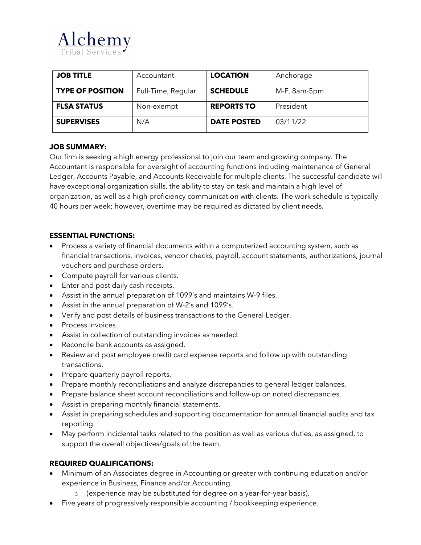

| <b>JOB TITLE</b>        | Accountant         | <b>LOCATION</b>    | Anchorage         |
|-------------------------|--------------------|--------------------|-------------------|
| <b>TYPE OF POSITION</b> | Full-Time, Regular | <b>SCHEDULE</b>    | $M-F$ , $8am-5pm$ |
| <b>FLSA STATUS</b>      | Non-exempt         | <b>REPORTS TO</b>  | President         |
| <b>SUPERVISES</b>       | N/A                | <b>DATE POSTED</b> | 03/11/22          |

## **JOB SUMMARY:**

Our firm is seeking a high energy professional to join our team and growing company. The Accountant is responsible for oversight of accounting functions including maintenance of General Ledger, Accounts Payable, and Accounts Receivable for multiple clients. The successful candidate will have exceptional organization skills, the ability to stay on task and maintain a high level of organization, as well as a high proficiency communication with clients. The work schedule is typically 40 hours per week; however, overtime may be required as dictated by client needs.

# **ESSENTIAL FUNCTIONS:**

- Process a variety of financial documents within a computerized accounting system, such as financial transactions, invoices, vendor checks, payroll, account statements, authorizations, journal vouchers and purchase orders.
- Compute payroll for various clients.
- Enter and post daily cash receipts.
- Assist in the annual preparation of 1099's and maintains W-9 files.
- Assist in the annual preparation of W-2's and 1099's.
- Verify and post details of business transactions to the General Ledger.
- Process invoices.
- Assist in collection of outstanding invoices as needed.
- Reconcile bank accounts as assigned.
- Review and post employee credit card expense reports and follow up with outstanding transactions.
- Prepare quarterly payroll reports.
- Prepare monthly reconciliations and analyze discrepancies to general ledger balances.
- Prepare balance sheet account reconciliations and follow-up on noted discrepancies.
- Assist in preparing monthly financial statements.
- Assist in preparing schedules and supporting documentation for annual financial audits and tax reporting.
- May perform incidental tasks related to the position as well as various duties, as assigned, to support the overall objectives/goals of the team.

## **REQUIRED QUALIFICATIONS:**

- Minimum of an Associates degree in Accounting or greater with continuing education and/or experience in Business, Finance and/or Accounting.
	- o (experience may be substituted for degree on a year-for-year basis).
- Five years of progressively responsible accounting / bookkeeping experience.